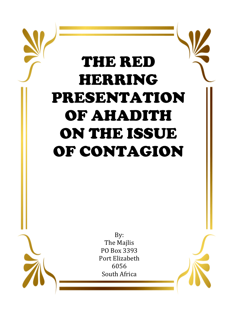# THE RED HERRING PRESENTATION OF AHADITH ON THE ISSUE OF CONTAGION

The Majlis PO Box 3393 Port Elizabeth 6056 South Africa

By: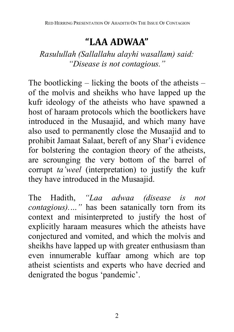## **"LAA ADWAA"**

*Rasulullah (Sallallahu alayhi wasallam) said: "Disease is not contagious."* 

The bootlicking  $-$  licking the boots of the atheists  $$ of the molvis and sheikhs who have lapped up the kufr ideology of the atheists who have spawned a host of haraam protocols which the bootlickers have introduced in the Musaajid, and which many have also used to permanently close the Musaajid and to prohibit Jamaat Salaat, bereft of any Shar'i evidence for bolstering the contagion theory of the atheists, are scrounging the very bottom of the barrel of corrupt *ta'weel* (interpretation) to justify the kufr they have introduced in the Musaajid.

The Hadith, *"Laa adwaa (disease is not contagious).…"* has been satanically torn from its context and misinterpreted to justify the host of explicitly haraam measures which the atheists have conjectured and vomited, and which the molvis and sheikhs have lapped up with greater enthusiasm than even innumerable kuffaar among which are top atheist scientists and experts who have decried and denigrated the bogus 'pandemic'.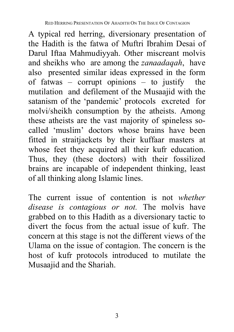A typical red herring, diversionary presentation of the Hadith is the fatwa of Muftri Ibrahim Desai of Darul Iftaa Mahmudiyyah. Other miscreant molvis and sheikhs who are among the *zanaadaqah*, have also presented similar ideas expressed in the form of fatwas – corrupt opinions – to justify the mutilation and defilement of the Musaajid with the satanism of the 'pandemic' protocols excreted for molvi/sheikh consumption by the atheists. Among these atheists are the vast majority of spineless socalled 'muslim' doctors whose brains have been fitted in straitjackets by their kuffaar masters at whose feet they acquired all their kufr education. Thus, they (these doctors) with their fossilized brains are incapable of independent thinking, least of all thinking along Islamic lines.

The current issue of contention is not *whether disease is contagious or not.* The molvis have grabbed on to this Hadith as a diversionary tactic to divert the focus from the actual issue of kufr. The concern at this stage is not the different views of the Ulama on the issue of contagion. The concern is the host of kufr protocols introduced to mutilate the Musaajid and the Shariah.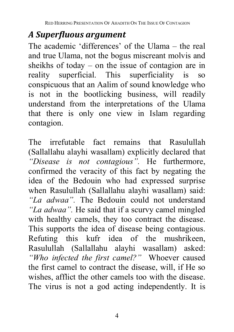### *A Superfluous argument*

The academic 'differences' of the Ulama – the real and true Ulama, not the bogus miscreant molvis and sheikhs of today – on the issue of contagion are in reality superficial. This superficiality is so conspicuous that an Aalim of sound knowledge who is not in the bootlicking business, will readily understand from the interpretations of the Ulama that there is only one view in Islam regarding contagion.

The irrefutable fact remains that Rasulullah (Sallallahu alayhi wasallam) explicitly declared that *"Disease is not contagious".* He furthermore, confirmed the veracity of this fact by negating the idea of the Bedouin who had expressed surprise when Rasulullah (Sallallahu alayhi wasallam) said: *"La adwaa".* The Bedouin could not understand *"La adwaa".* He said that if a scurvy camel mingled with healthy camels, they too contract the disease. This supports the idea of disease being contagious. Refuting this kufr idea of the mushrikeen, Rasulullah (Sallallahu alayhi wasallam) asked: *"Who infected the first camel?"* Whoever caused the first camel to contract the disease, will, if He so wishes, afflict the other camels too with the disease. The virus is not a god acting independently. It is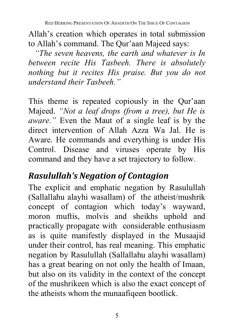Allah's creation which operates in total submission to Allah's command. The Qur'aan Majeed says:

 *"The seven heavens, the earth and whatever is In between recite His Tasbeeh. There is absolutely nothing but it recites His praise. But you do not understand their Tasbeeh."*

This theme is repeated copiously in the Qur'aan Majeed. *"Not a leaf drops (from a tree), but He is aware."* Even the Maut of a single leaf is by the direct intervention of Allah Azza Wa Jal. He is Aware. He commands and everything is under His Control. Disease and viruses operate by His command and they have a set trajectory to follow.

## *Rasulullah's Negation of Contagion*

The explicit and emphatic negation by Rasulullah (Sallallahu alayhi wasallam) of the atheist/mushrik concept of contagion which today's wayward, moron muftis, molvis and sheikhs uphold and practically propagate with considerable enthusiasm as is quite manifestly displayed in the Musaajid under their control, has real meaning. This emphatic negation by Rasulullah (Sallallahu alayhi wasallam) has a great bearing on not only the health of Imaan, but also on its validity in the context of the concept of the mushrikeen which is also the exact concept of the atheists whom the munaafiqeen bootlick.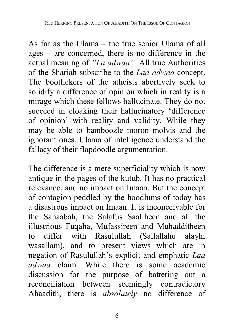As far as the Ulama – the true senior Ulama of all ages – are concerned, there is no difference in the actual meaning of *"La adwaa".* All true Authorities of the Shariah subscribe to the *Laa adwaa* concept. The bootlickers of the atheists abortively seek to solidify a difference of opinion which in reality is a mirage which these fellows hallucinate. They do not succeed in cloaking their hallucinatory 'difference of opinion' with reality and validity. While they may be able to bamboozle moron molvis and the ignorant ones, Ulama of intelligence understand the fallacy of their flapdoodle argumentation.

The difference is a mere superficiality which is now antique in the pages of the kutub. It has no practical relevance, and no impact on Imaan. But the concept of contagion peddled by the hoodlums of today has a disastrous impact on Imaan. It is inconceivable for the Sahaabah, the Salafus Saaliheen and all the illustrious Fuqaha, Mufassireen and Muhadditheen to differ with Rasulullah (Sallallahu alayhi wasallam), and to present views which are in negation of Rasulullah's explicit and emphatic *Laa adwaa* claim. While there is some academic discussion for the purpose of battering out a reconciliation between seemingly contradictory Ahaadith, there is *absolutely* no difference of

6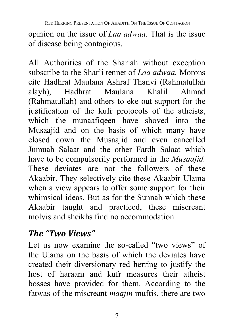opinion on the issue of *Laa adwaa.* That is the issue of disease being contagious.

All Authorities of the Shariah without exception subscribe to the Shar'i tennet of *Laa adwaa.* Morons cite Hadhrat Maulana Ashraf Thanvi (Rahmatullah alayh), Hadhrat Maulana Khalil Ahmad (Rahmatullah) and others to eke out support for the justification of the kufr protocols of the atheists, which the munaafiqeen have shoved into the Musaajid and on the basis of which many have closed down the Musaajid and even cancelled Jumuah Salaat and the other Fardh Salaat which have to be compulsorily performed in the *Musaajid.* These deviates are not the followers of these Akaabir. They selectively cite these Akaabir Ulama when a view appears to offer some support for their whimsical ideas. But as for the Sunnah which these Akaabir taught and practiced, these miscreant molvis and sheikhs find no accommodation.

### *The "Two Views"*

Let us now examine the so-called "two views" of the Ulama on the basis of which the deviates have created their diversionary red herring to justify the host of haraam and kufr measures their atheist bosses have provided for them. According to the fatwas of the miscreant *maajin* muftis, there are two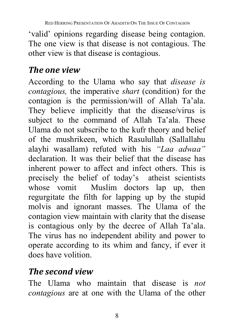'valid' opinions regarding disease being contagion. The one view is that disease is not contagious. The other view is that disease is contagious.

#### *The one view*

According to the Ulama who say that *disease is contagious,* the imperative *shart* (condition) for the contagion is the permission/will of Allah Ta'ala. They believe implicitly that the disease/virus is subject to the command of Allah Ta'ala. These Ulama do not subscribe to the kufr theory and belief of the mushrikeen, which Rasulullah (Sallallahu alayhi wasallam) refuted with his *"Laa adwaa"* declaration. It was their belief that the disease has inherent power to affect and infect others. This is precisely the belief of today's atheist scientists whose vomit Muslim doctors lap up, then regurgitate the filth for lapping up by the stupid molvis and ignorant masses. The Ulama of the contagion view maintain with clarity that the disease is contagious only by the decree of Allah Ta'ala. The virus has no independent ability and power to operate according to its whim and fancy, if ever it does have volition.

#### *The second view*

The Ulama who maintain that disease is *not contagious* are at one with the Ulama of the other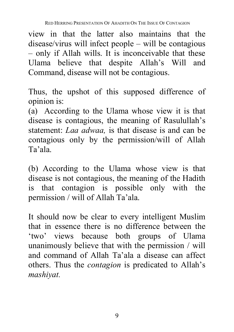view in that the latter also maintains that the disease/virus will infect people – will be contagious – only if Allah wills. It is inconceivable that these Ulama believe that despite Allah's Will and Command, disease will not be contagious.

Thus, the upshot of this supposed difference of opinion is:

(a) According to the Ulama whose view it is that disease is contagious, the meaning of Rasulullah's statement: *Laa adwaa,* is that disease is and can be contagious only by the permission/will of Allah Ta'ala.

(b) According to the Ulama whose view is that disease is not contagious, the meaning of the Hadith is that contagion is possible only with the permission / will of Allah Ta'ala.

It should now be clear to every intelligent Muslim that in essence there is no difference between the 'two' views because both groups of Ulama unanimously believe that with the permission / will and command of Allah Ta'ala a disease can affect others. Thus the *contagion* is predicated to Allah's *mashiyat.*

9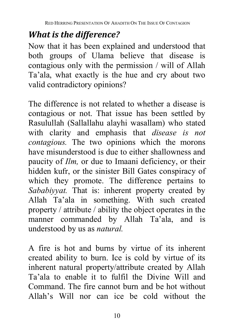## *What is the difference?*

Now that it has been explained and understood that both groups of Ulama believe that disease is contagious only with the permission / will of Allah Ta'ala, what exactly is the hue and cry about two valid contradictory opinions?

The difference is not related to whether a disease is contagious or not. That issue has been settled by Rasulullah (Sallallahu alayhi wasallam) who stated with clarity and emphasis that *disease is not contagious.* The two opinions which the morons have misunderstood is due to either shallowness and paucity of *Ilm,* or due to Imaani deficiency, or their hidden kufr, or the sinister Bill Gates conspiracy of which they promote. The difference pertains to *Sababiyyat.* That is: inherent property created by Allah Ta'ala in something. With such created property / attribute / ability the object operates in the manner commanded by Allah Ta'ala, and is understood by us as *natural.* 

A fire is hot and burns by virtue of its inherent created ability to burn. Ice is cold by virtue of its inherent natural property/attribute created by Allah Ta'ala to enable it to fulfil the Divine Will and Command. The fire cannot burn and be hot without Allah's Will nor can ice be cold without the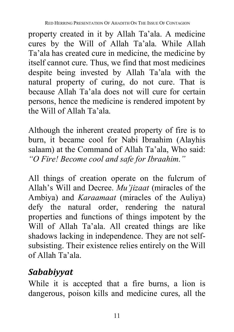property created in it by Allah Ta'ala. A medicine cures by the Will of Allah Ta'ala. While Allah Ta'ala has created cure in medicine, the medicine by itself cannot cure. Thus, we find that most medicines despite being invested by Allah Ta'ala with the natural property of curing, do not cure. That is because Allah Ta'ala does not will cure for certain persons, hence the medicine is rendered impotent by the Will of Allah Ta'ala.

Although the inherent created property of fire is to burn, it became cool for Nabi Ibraahim (Alayhis salaam) at the Command of Allah Ta'ala, Who said: *"O Fire! Become cool and safe for Ibraahim."*

All things of creation operate on the fulcrum of Allah's Will and Decree. *Mu'jizaat* (miracles of the Ambiya) and *Karaamaat* (miracles of the Auliya) defy the natural order, rendering the natural properties and functions of things impotent by the Will of Allah Ta'ala. All created things are like shadows lacking in independence. They are not selfsubsisting. Their existence relies entirely on the Will of Allah Ta'ala.

## *Sababiyyat*

While it is accepted that a fire burns, a lion is dangerous, poison kills and medicine cures, all the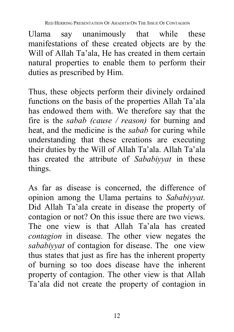Ulama say unanimously that while these manifestations of these created objects are by the Will of Allah Ta'ala, He has created in them certain natural properties to enable them to perform their duties as prescribed by Him.

Thus, these objects perform their divinely ordained functions on the basis of the properties Allah Ta'ala has endowed them with. We therefore say that the fire is the *sabab (cause / reason)* for burning and heat, and the medicine is the *sabab* for curing while understanding that these creations are executing their duties by the Will of Allah Ta'ala. Allah Ta'ala has created the attribute of *Sababiyyat* in these things.

As far as disease is concerned, the difference of opinion among the Ulama pertains to *Sababiyyat.* Did Allah Ta'ala create in disease the property of contagion or not? On this issue there are two views. The one view is that Allah Ta'ala has created *contagion* in disease. The other view negates the *sababiyyat* of contagion for disease. The one view thus states that just as fire has the inherent property of burning so too does disease have the inherent property of contagion. The other view is that Allah Ta'ala did not create the property of contagion in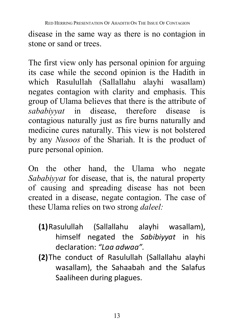disease in the same way as there is no contagion in stone or sand or trees.

The first view only has personal opinion for arguing its case while the second opinion is the Hadith in which Rasulullah (Sallallahu alayhi wasallam) negates contagion with clarity and emphasis. This group of Ulama believes that there is the attribute of *sababiyyat* in disease, therefore disease is contagious naturally just as fire burns naturally and medicine cures naturally. This view is not bolstered by any *Nusoos* of the Shariah. It is the product of pure personal opinion.

On the other hand, the Ulama who negate *Sababiyyat* for disease, that is, the natural property of causing and spreading disease has not been created in a disease, negate contagion. The case of these Ulama relies on two strong *daleel:*

- **(1)**Rasulullah (Sallallahu alayhi wasallam), himself negated the *Sabibiyyat* in his declaration: *"Laa adwaa".*
- **(2)**The conduct of Rasulullah (Sallallahu alayhi wasallam), the Sahaabah and the Salafus Saaliheen during plagues.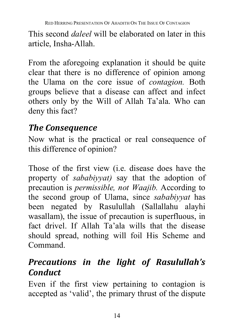This second *daleel* will be elaborated on later in this article, Insha-Allah.

From the aforegoing explanation it should be quite clear that there is no difference of opinion among the Ulama on the core issue of *contagion.* Both groups believe that a disease can affect and infect others only by the Will of Allah Ta'ala. Who can deny this fact?

### *The Consequence*

Now what is the practical or real consequence of this difference of opinion?

Those of the first view (i.e. disease does have the property of *sababiyyat)* say that the adoption of precaution is *permissible, not Waajib.* According to the second group of Ulama, since *sababiyyat* has been negated by Rasulullah (Sallallahu alayhi wasallam), the issue of precaution is superfluous, in fact drivel. If Allah Ta'ala wills that the disease should spread, nothing will foil His Scheme and Command.

## *Precautions in the light of Rasulullah's Conduct*

Even if the first view pertaining to contagion is accepted as 'valid', the primary thrust of the dispute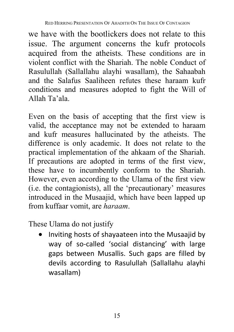we have with the bootlickers does not relate to this issue. The argument concerns the kufr protocols acquired from the atheists. These conditions are in violent conflict with the Shariah. The noble Conduct of Rasulullah (Sallallahu alayhi wasallam), the Sahaabah and the Salafus Saaliheen refutes these haraam kufr conditions and measures adopted to fight the Will of Allah Ta'ala.

Even on the basis of accepting that the first view is valid, the acceptance may not be extended to haraam and kufr measures hallucinated by the atheists. The difference is only academic. It does not relate to the practical implementation of the ahkaam of the Shariah. If precautions are adopted in terms of the first view, these have to incumbently conform to the Shariah. However, even according to the Ulama of the first view (i.e. the contagionists), all the 'precautionary' measures introduced in the Musaajid, which have been lapped up from kuffaar vomit, are *haraam*.

These Ulama do not justify

• Inviting hosts of shayaateen into the Musaajid by way of so-called 'social distancing' with large gaps between Musallis. Such gaps are filled by devils according to Rasulullah (Sallallahu alayhi wasallam)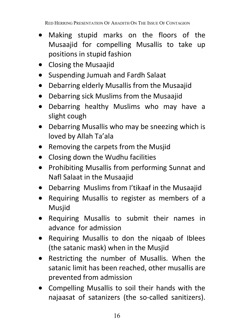- Making stupid marks on the floors of the Musaajid for compelling Musallis to take up positions in stupid fashion
- Closing the Musaajid
- Suspending Jumuah and Fardh Salaat
- Debarring elderly Musallis from the Musaajid
- Debarring sick Muslims from the Musaajid
- Debarring healthy Muslims who may have a slight cough
- Debarring Musallis who may be sneezing which is loved by Allah Ta'ala
- Removing the carpets from the Musjid
- Closing down the Wudhu facilities
- Prohibiting Musallis from performing Sunnat and Nafl Salaat in the Musaajid
- Debarring Muslims from I'tikaaf in the Musaajid
- Requiring Musallis to register as members of a Musjid
- Requiring Musallis to submit their names in advance for admission
- Requiring Musallis to don the niqaab of Iblees (the satanic mask) when in the Musjid
- Restricting the number of Musallis. When the satanic limit has been reached, other musallis are prevented from admission
- Compelling Musallis to soil their hands with the najaasat of satanizers (the so-called sanitizers).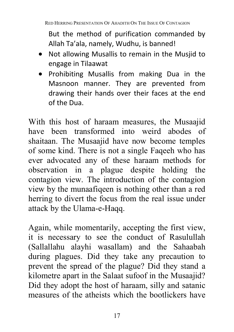But the method of purification commanded by Allah Ta'ala, namely, Wudhu, is banned!

- Not allowing Musallis to remain in the Musjid to engage in Tilaawat
- Prohibiting Musallis from making Dua in the Masnoon manner. They are prevented from drawing their hands over their faces at the end of the Dua.

With this host of haraam measures, the Musaajid have been transformed into weird abodes of shaitaan. The Musaajid have now become temples of some kind. There is not a single Faqeeh who has ever advocated any of these haraam methods for observation in a plague despite holding the contagion view. The introduction of the contagion view by the munaafiqeen is nothing other than a red herring to divert the focus from the real issue under attack by the Ulama-e-Haqq.

Again, while momentarily, accepting the first view, it is necessary to see the conduct of Rasulullah (Sallallahu alayhi wasallam) and the Sahaabah during plagues. Did they take any precaution to prevent the spread of the plague? Did they stand a kilometre apart in the Salaat sufoof in the Musaajid? Did they adopt the host of haraam, silly and satanic measures of the atheists which the bootlickers have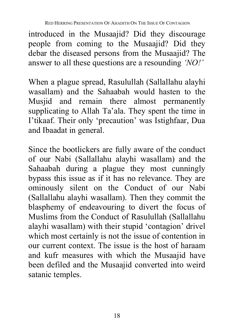introduced in the Musaajid? Did they discourage people from coming to the Musaajid? Did they debar the diseased persons from the Musaajid? The answer to all these questions are a resounding *'NO!'* 

When a plague spread, Rasulullah (Sallallahu alayhi wasallam) and the Sahaabah would hasten to the Musjid and remain there almost permanently supplicating to Allah Ta'ala. They spent the time in I'tikaaf. Their only 'precaution' was Istighfaar, Dua and Ibaadat in general.

Since the bootlickers are fully aware of the conduct of our Nabi (Sallallahu alayhi wasallam) and the Sahaabah during a plague they most cunningly bypass this issue as if it has no relevance. They are ominously silent on the Conduct of our Nabi (Sallallahu alayhi wasallam). Then they commit the blasphemy of endeavouring to divert the focus of Muslims from the Conduct of Rasulullah (Sallallahu alayhi wasallam) with their stupid 'contagion' drivel which most certainly is not the issue of contention in our current context. The issue is the host of haraam and kufr measures with which the Musaajid have been defiled and the Musaajid converted into weird satanic temples.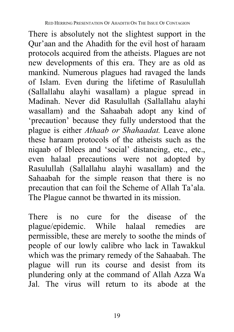There is absolutely not the slightest support in the Qur'aan and the Ahadith for the evil host of haraam protocols acquired from the atheists. Plagues are not new developments of this era. They are as old as mankind. Numerous plagues had ravaged the lands of Islam. Even during the lifetime of Rasulullah (Sallallahu alayhi wasallam) a plague spread in Madinah. Never did Rasulullah (Sallallahu alayhi wasallam) and the Sahaabah adopt any kind of 'precaution' because they fully understood that the plague is either *Athaab or Shahaadat.* Leave alone these haraam protocols of the atheists such as the niqaab of Iblees and 'social' distancing, etc., etc., even halaal precautions were not adopted by Rasulullah (Sallallahu alayhi wasallam) and the Sahaabah for the simple reason that there is no precaution that can foil the Scheme of Allah Ta'ala. The Plague cannot be thwarted in its mission.

There is no cure for the disease of the plague/epidemic. While halaal remedies are permissible, these are merely to soothe the minds of people of our lowly calibre who lack in Tawakkul which was the primary remedy of the Sahaabah. The plague will run its course and desist from its plundering only at the command of Allah Azza Wa Jal. The virus will return to its abode at the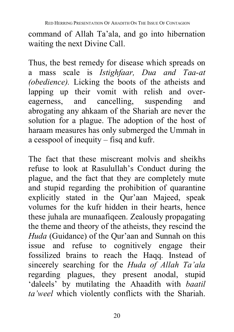command of Allah Ta'ala, and go into hibernation waiting the next Divine Call.

Thus, the best remedy for disease which spreads on a mass scale is *Istighfaar, Dua and Taa-at (obedience).* Licking the boots of the atheists and lapping up their vomit with relish and overeagerness, and cancelling, suspending and abrogating any ahkaam of the Shariah are never the solution for a plague. The adoption of the host of haraam measures has only submerged the Ummah in a cesspool of inequity – fisq and kufr.

The fact that these miscreant molvis and sheikhs refuse to look at Rasulullah's Conduct during the plague, and the fact that they are completely mute and stupid regarding the prohibition of quarantine explicitly stated in the Qur'aan Majeed, speak volumes for the kufr hidden in their hearts, hence these juhala are munaafiqeen. Zealously propagating the theme and theory of the atheists, they rescind the *Huda* (Guidance) of the Qur'aan and Sunnah on this issue and refuse to cognitively engage their fossilized brains to reach the Haqq. Instead of sincerely searching for the *Huda of Allah Ta'ala* regarding plagues, they present anodal, stupid 'daleels' by mutilating the Ahaadith with *baatil ta'weel* which violently conflicts with the Shariah.

20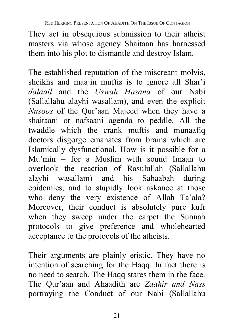They act in obsequious submission to their atheist masters via whose agency Shaitaan has harnessed them into his plot to dismantle and destroy Islam.

The established reputation of the miscreant molvis, sheikhs and maajin muftis is to ignore all Shar'i *dalaail* and the *Uswah Hasana* of our Nabi (Sallallahu alayhi wasallam), and even the explicit *Nusoos* of the Qur'aan Majeed when they have a shaitaani or nafsaani agenda to peddle. All the twaddle which the crank muftis and munaafiq doctors disgorge emanates from brains which are Islamically dysfunctional. How is it possible for a Mu'min – for a Muslim with sound Imaan to overlook the reaction of Rasulullah (Sallallahu alayhi wasallam) and his Sahaabah during epidemics, and to stupidly look askance at those who deny the very existence of Allah Ta'ala? Moreover, their conduct is absolutely pure kufr when they sweep under the carpet the Sunnah protocols to give preference and wholehearted acceptance to the protocols of the atheists.

Their arguments are plainly eristic. They have no intention of searching for the Haqq. In fact there is no need to search. The Haqq stares them in the face. The Qur'aan and Ahaadith are *Zaahir and Nass* portraying the Conduct of our Nabi (Sallallahu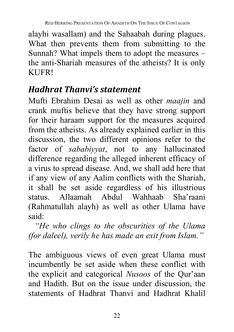alayhi wasallam) and the Sahaabah during plagues. What then prevents them from submitting to the Sunnah? What impels them to adopt the measures – the anti-Shariah measures of the atheists? It is only KUFR!

### *Hadhrat Thanvi's statement*

Mufti Ebrahim Desai as well as other *maajin* and crank muftis believe that they have strong support for their haraam support for the measures acquired from the atheists. As already explained earlier in this discussion, the two different opinions refer to the factor of *sababiyyat*, not to any hallucinated difference regarding the alleged inherent efficacy of a virus to spread disease. And, we shall add here that if any view of any Aalim conflicts with the Shariah, it shall be set aside regardless of his illustrious status. Allaamah Abdul Wahhaab Sha'raani (Rahmatullah alayh) as well as other Ulama have said:

 *"He who clings to the obscurities of the Ulama (for daleel), verily he has made an exit from Islam."*

The ambiguous views of even great Ulama must incumbently be set aside when these conflict with the explicit and categorical *Nusoos* of the Qur'aan and Hadith. But on the issue under discussion, the statements of Hadhrat Thanvi and Hadhrat Khalil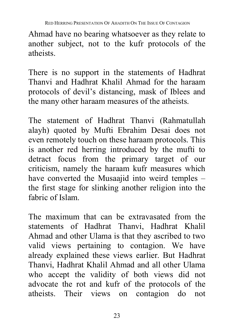Ahmad have no bearing whatsoever as they relate to another subject, not to the kufr protocols of the atheists.

There is no support in the statements of Hadhrat Thanvi and Hadhrat Khalil Ahmad for the haraam protocols of devil's distancing, mask of Iblees and the many other haraam measures of the atheists.

The statement of Hadhrat Thanvi (Rahmatullah alayh) quoted by Mufti Ebrahim Desai does not even remotely touch on these haraam protocols. This is another red herring introduced by the mufti to detract focus from the primary target of our criticism, namely the haraam kufr measures which have converted the Musaajid into weird temples – the first stage for slinking another religion into the fabric of Islam.

The maximum that can be extravasated from the statements of Hadhrat Thanvi, Hadhrat Khalil Ahmad and other Ulama is that they ascribed to two valid views pertaining to contagion. We have already explained these views earlier. But Hadhrat Thanvi, Hadhrat Khalil Ahmad and all other Ulama who accept the validity of both views did not advocate the rot and kufr of the protocols of the atheists. Their views on contagion do not

23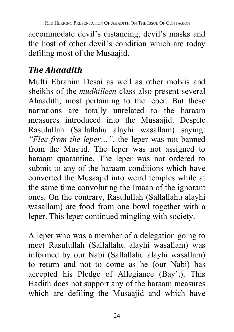accommodate devil's distancing, devil's masks and the host of other devil's condition which are today defiling most of the Musaajid.

### *The Ahaadith*

Mufti Ebrahim Desai as well as other molvis and sheikhs of the *mudhilleen* class also present several Ahaadith, most pertaining to the leper. But these narrations are totally unrelated to the haraam measures introduced into the Musaajid. Despite Rasulullah (Sallallahu alayhi wasallam) saying: *"Flee from the leper…"*, the leper was not banned from the Musjid. The leper was not assigned to haraam quarantine. The leper was not ordered to submit to any of the haraam conditions which have converted the Musaajid into weird temples while at the same time convoluting the Imaan of the ignorant ones. On the contrary, Rasulullah (Sallallahu alayhi wasallam) ate food from one bowl together with a leper. This leper continued mingling with society.

A leper who was a member of a delegation going to meet Rasulullah (Sallallahu alayhi wasallam) was informed by our Nabi (Sallallahu alayhi wasallam) to return and not to come as he (our Nabi) has accepted his Pledge of Allegiance (Bay't). This Hadith does not support any of the haraam measures which are defiling the Musaajid and which have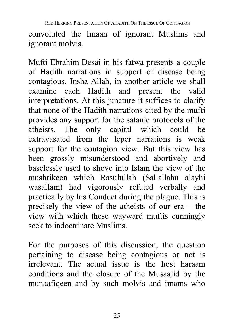convoluted the Imaan of ignorant Muslims and ignorant molvis.

Mufti Ebrahim Desai in his fatwa presents a couple of Hadith narrations in support of disease being contagious. Insha-Allah, in another article we shall examine each Hadith and present the valid interpretations. At this juncture it suffices to clarify that none of the Hadith narrations cited by the mufti provides any support for the satanic protocols of the atheists. The only capital which could be extravasated from the leper narrations is weak support for the contagion view. But this view has been grossly misunderstood and abortively and baselessly used to shove into Islam the view of the mushrikeen which Rasulullah (Sallallahu alayhi wasallam) had vigorously refuted verbally and practically by his Conduct during the plague. This is precisely the view of the atheists of our era – the view with which these wayward muftis cunningly seek to indoctrinate Muslims.

For the purposes of this discussion, the question pertaining to disease being contagious or not is irrelevant. The actual issue is the host haraam conditions and the closure of the Musaajid by the munaafiqeen and by such molvis and imams who

25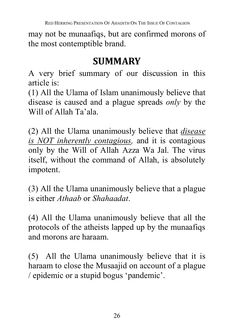may not be munaafiqs, but are confirmed morons of the most contemptible brand.

## **SUMMARY**

A very brief summary of our discussion in this article is:

(1) All the Ulama of Islam unanimously believe that disease is caused and a plague spreads *only* by the Will of Allah Ta'ala.

(2) All the Ulama unanimously believe that *disease is NOT inherently contagious,* and it is contagious only by the Will of Allah Azza Wa Jal. The virus itself, without the command of Allah, is absolutely impotent.

(3) All the Ulama unanimously believe that a plague is either *Athaab* or *Shahaadat*.

(4) All the Ulama unanimously believe that all the protocols of the atheists lapped up by the munaafiqs and morons are haraam.

(5) All the Ulama unanimously believe that it is haraam to close the Musaajid on account of a plague / epidemic or a stupid bogus 'pandemic'.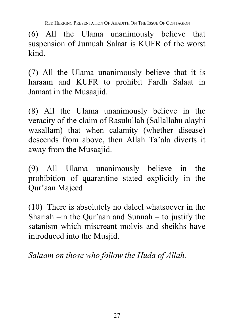RED HERRING PRESENTATION OF AHADITH ON THE ISSUE OF CONTAGION

(6) All the Ulama unanimously believe that suspension of Jumuah Salaat is KUFR of the worst kind.

(7) All the Ulama unanimously believe that it is haraam and KUFR to prohibit Fardh Salaat in Jamaat in the Musaajid.

(8) All the Ulama unanimously believe in the veracity of the claim of Rasulullah (Sallallahu alayhi wasallam) that when calamity (whether disease) descends from above, then Allah Ta'ala diverts it away from the Musaajid.

(9) All Ulama unanimously believe in the prohibition of quarantine stated explicitly in the Qur'aan Majeed.

(10) There is absolutely no daleel whatsoever in the Shariah –in the Qur'aan and Sunnah – to justify the satanism which miscreant molvis and sheikhs have introduced into the Musjid.

*Salaam on those who follow the Huda of Allah.*